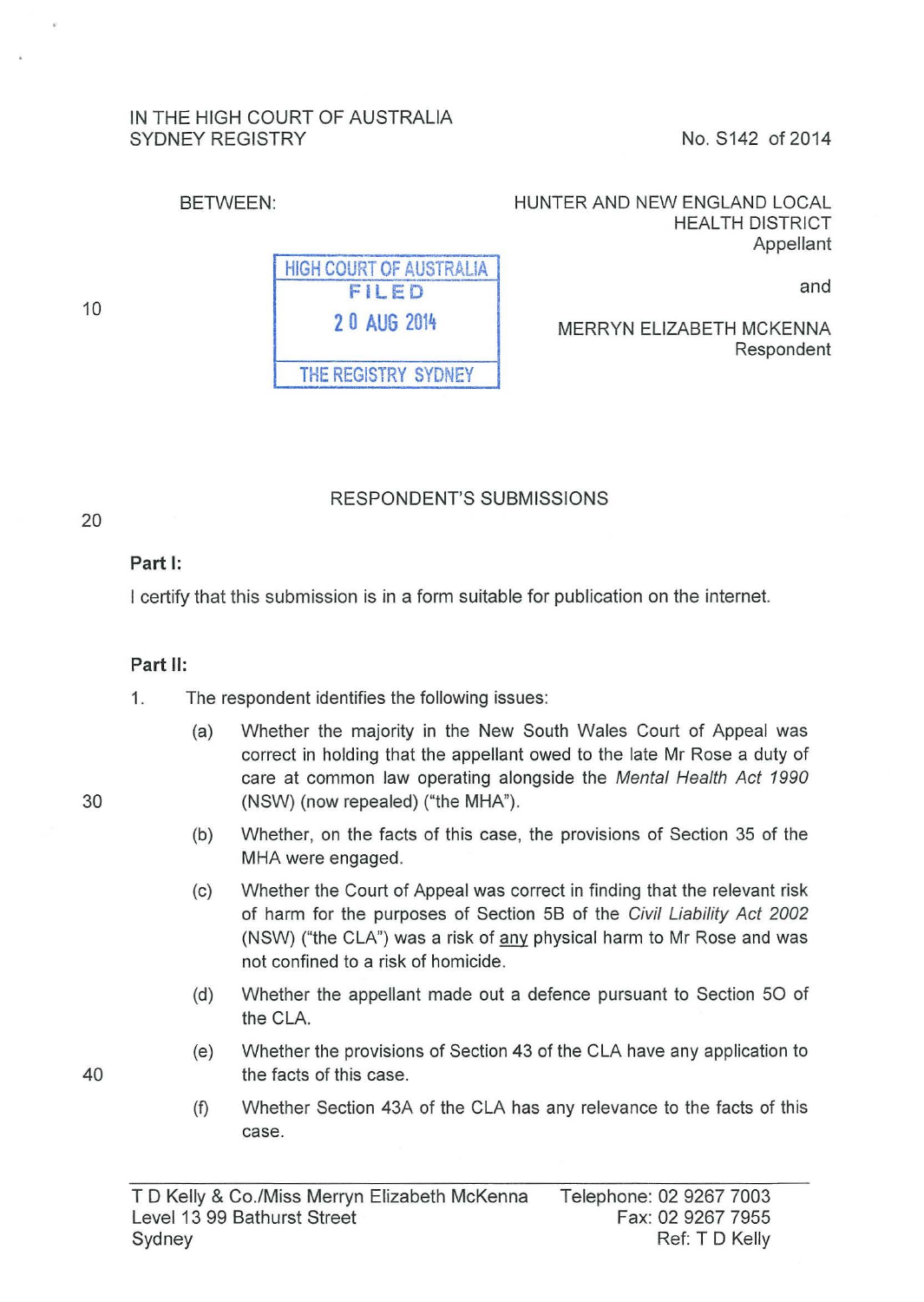#### IN THE HIGH COURT OF AUSTRALIA SYDNEY REGISTRY No. S142 of 2014

#### BETWEEN: HUNTER AND NEW ENGLAND LOCAL HEALTH DISTRICT Appellant

and

MERRYN ELIZABETH MCKENNA Respondent

RESPONDENT'S SUBMISSIONS

# Part 1:

10

20

I certify that this submission is in a form suitable for publication on the internet.

#### Part II:

1. The respondent identifies the following issues:

- (a) Whether the majority in the New South Wales Court of Appeal was correct in holding that the appellant owed to the late Mr Rose a duty of care at common law operating alongside the Mental Health Act 1990 30 (NSW) (now repealed) ("the MHA").
	- (b) Whether, on the facts of this case, the provisions of Section 35 of the MHA were engaged.
	- (c) Whether the Court of Appeal was correct in finding that the relevant risk of harm for the purposes of Section 58 of the Civil Liability Act 2002 (NSW) ("the CLA") was a risk of any physical harm to Mr Rose and was not confined to a risk of homicide.
	- (d) Whether the appellant made out a defence pursuant to Section 50 of the CLA.
- (e) Whether the provisions of Section 43 of the CLA have any application to 40 the facts of this case.
	- (f) Whether Section 43A of the CLA has any relevance to the facts of this case.

HIGH COURT OF AUSTRALIA FILED 2 0 AUG 2014 THE REGISTRY SYDNEY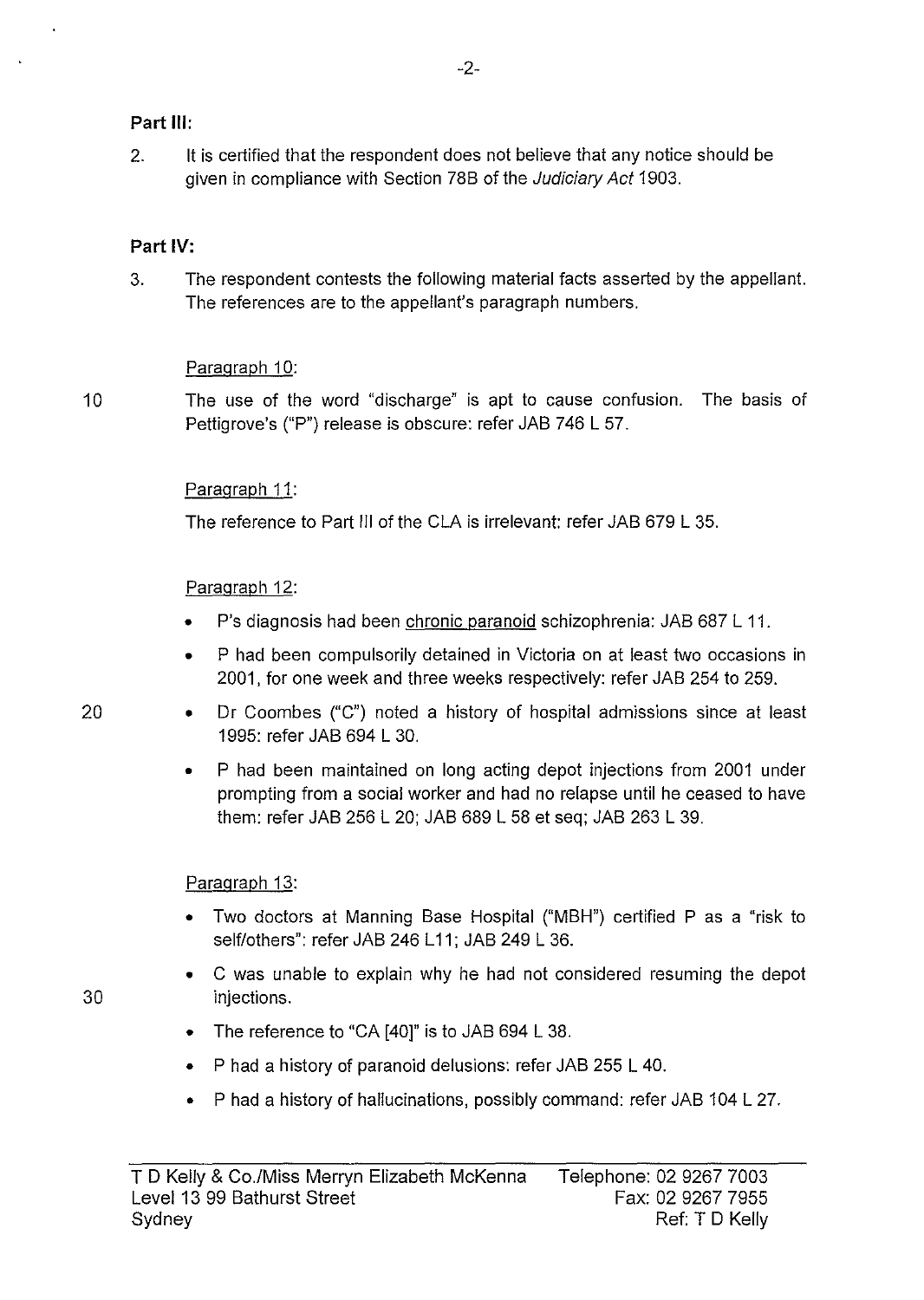### **Part Ill:**

2. It is certified that the respondent does not believe that any notice should be given in compliance with Section 78B of the Judiciary Act 1903.

## **Part IV:**

3. The respondent contests the following material facts asserted by the appellant. The references are to the appellant's paragraph numbers.

#### Paragraph 10:

10 The use of the word "discharge" is apt to cause confusion. The basis of Pettigrove's ("P") release is obscure: refer JAB 746 L 57.

### Paragraph 11:

The reference to Part Ill of the CLA is irrelevant: refer JAB 679 L 35.

### Paragraph 12:

- P's diagnosis had been chronic paranoid schizophrenia: JAB 687 L 11.
- P had been compulsorily detained in Victoria on at least two occasions in 2001, for one week and three weeks respectively: refer JAB 254 to 259.
- 20 Dr Coombes ("C") noted a history of hospital admissions since at least 1995: refer JAB 694 L 30.
	- P had been maintained on long acting depot injections from 2001 under prompting from a social worker and had no relapse until he ceased to have them: refer JAB 256 L 20; JAB 689 L 58 et seq; JAB 263 L 39.

## Paragraph 13:

- Two doctors at Manning Base Hospital ("MBH") certified P as a "risk to self/others": refer JAB 246 L11; JAB 249 L 36.
- C was unable to explain why he had not considered resuming the depot injections.
- The reference to "CA [40]" is to JAB 694 L 38.
- P had a history of paranoid delusions: refer JAB 255 L 40.
- P had a history of hallucinations, possibly command: refer JAB 104 L 27.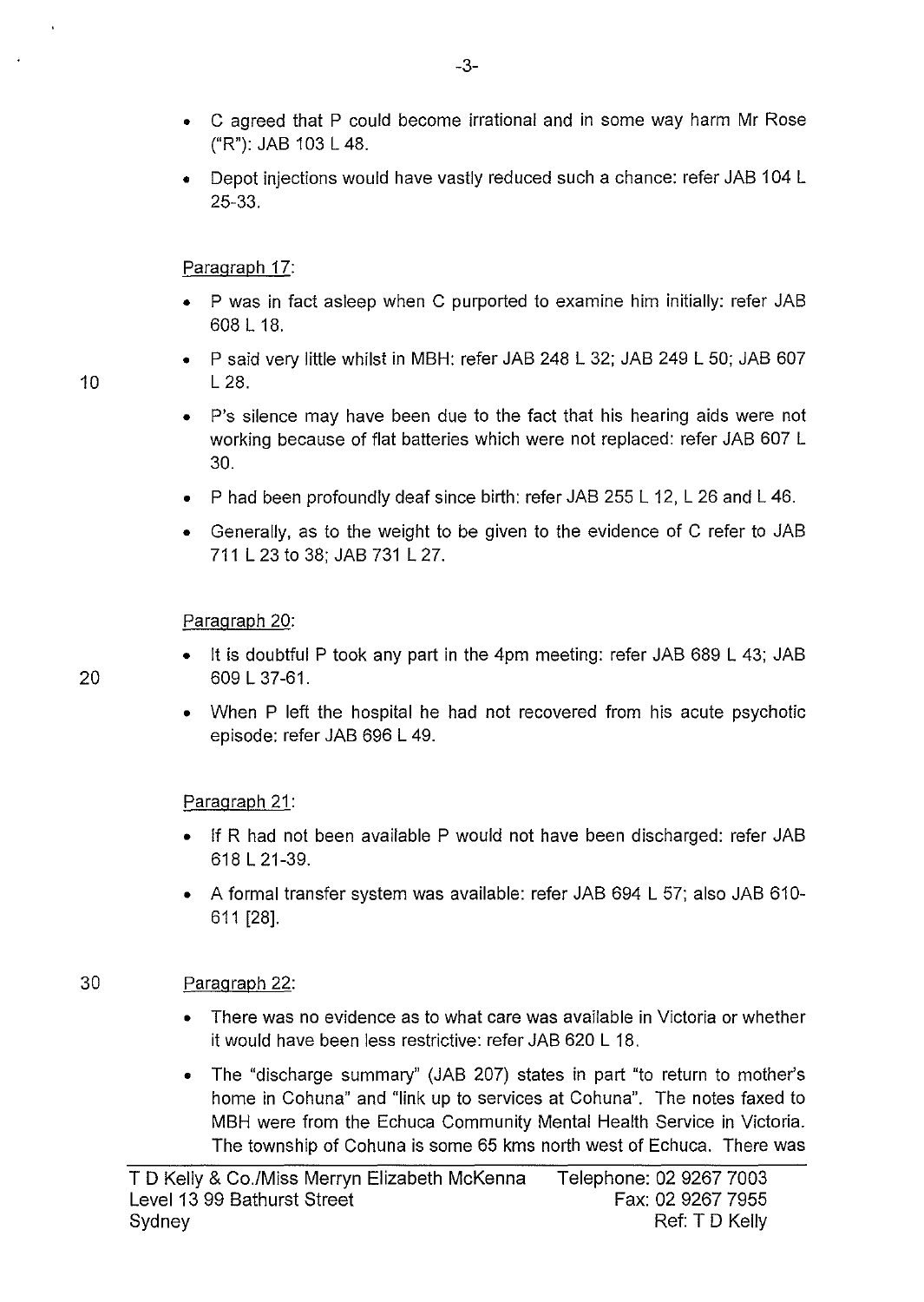- C agreed that P could become irrational and in some way harm Mr Rose ("R"): JAB 103 L 48.
- Depot injections would have vastly reduced such a chance: refer JAB 104 L 25-33.

#### Paragraph 17:

- P was in fact asleep when C purported to examine him initially: refer JAB 608 L 18.
- P said very little whilst in MBH: refer JAB 248 L 32; JAB 249 L 50; JAB 607 10 L 28.
	- P's silence may have been due to the fact that his hearing aids were not working because of flat batteries which were not replaced: refer JAB 607 L 30.
	- P had been profoundly deaf since birth: refer JAB 255 L 12, L 26 and L 46.
	- Generally, as to the weight to be given to the evidence of C refer to JAB 711 L 23 to 38; JAB 731 L 27.

#### Paragraph 20:

- It is doubtful P took any part in the 4pm meeting: refer JAB 689 L 43; JAB 20 609 L 37-61.
	- When P left the hospital he had not recovered from his acute psychotic episode: refer JAB 696 L 49.

#### Paragraph 21:

- If R had not been available P would not have been discharged: refer JAB 618 L 21-39.
- A formal transfer system was available: refer JAB 694 L 57; also JAB 610- 611 [28].

#### 30 Paragraph 22:

- There was no evidence as to what care was available in Victoria or whether it would have been less restrictive: refer JAB 620 L 18.
- The "discharge summary" (JAB 207) states in part "to return to mother's home in Cohuna" and "link up to services at Cohuna". The notes faxed to MBH were from the Echuca Community Mental Health Service in Victoria. The township of Cohuna is some 65 kms north west of Echuca. There was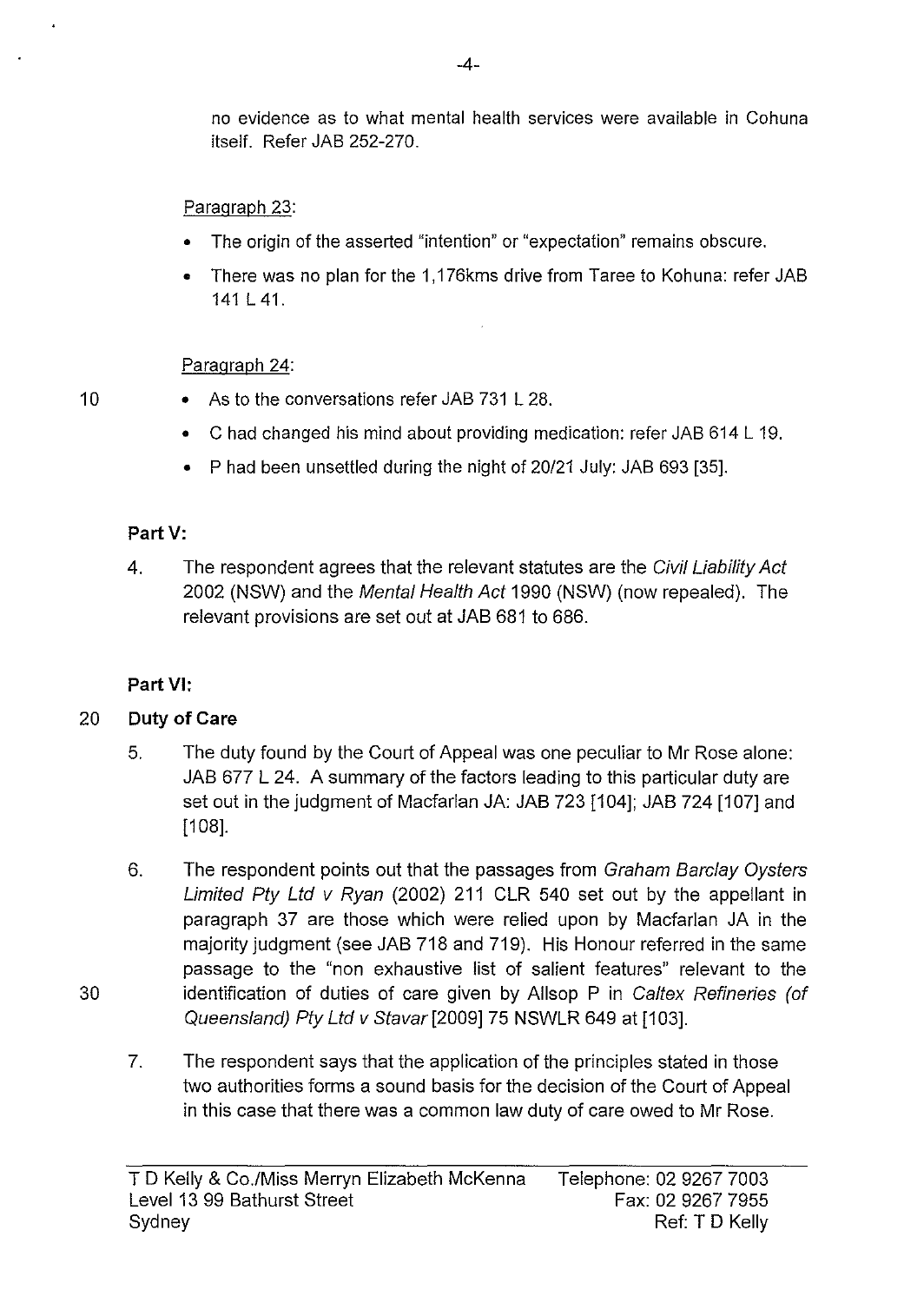no evidence as to what mental health services were available in Cohuna itself. Refer JAB 252-270.

## Paragraph 23:

- The origin of the asserted "intention" or "expectation" remains obscure.
- There was no plan for the 1, 176kms drive from Taree to Kohuna: refer JAB 141L41.

## Paragraph 24:

- 10 As to the conversations refer JAB 731 L 28.
	- Chad changed his mind about providing medication: refer JAB 614 L 19.
	- P had been unsettled during the night of 20/21 July: JAB 693 [35].

## **PartV:**

4. The respondent agrees that the relevant statutes are the Civil Liability Act 2002 (NSW) and the Mental Health Act 1990 (NSW) (now repealed). The relevant provisions are set out at JAB 681 to 686.

# **Part VI:**

# 20 **Duty of Care**

- 5. The duty found by the Court of Appeal was one peculiar to Mr Rose alone: JAB 677 L 24. A summary of the factors leading to this particular duty are set out in the judgment of Macfarlan JA: JAB 723 [104]; JAB 724 [107] and  $[108]$ .
- 6. The respondent points out that the passages from Graham Barclay Oysters Limited Pty Ltd v Ryan (2002) 211 CLR 540 set out by the appellant in paragraph 37 are those which were relied upon by Macfarlan JA in the majority judgment (see JAB 718 and 719). His Honour referred in the same passage to the "non exhaustive list of salient features" relevant to the identification of duties of care given by Allsop P in Caltex Refineries (of Queensland) Pty Ltd v Stavar [2009] 75 NSWLR 649 at [103].
- 7. The respondent says that the application of the principles stated in those two authorities forms a sound basis for the decision of the Court of Appeal in this case that there was a common law duty of care owed to Mr Rose.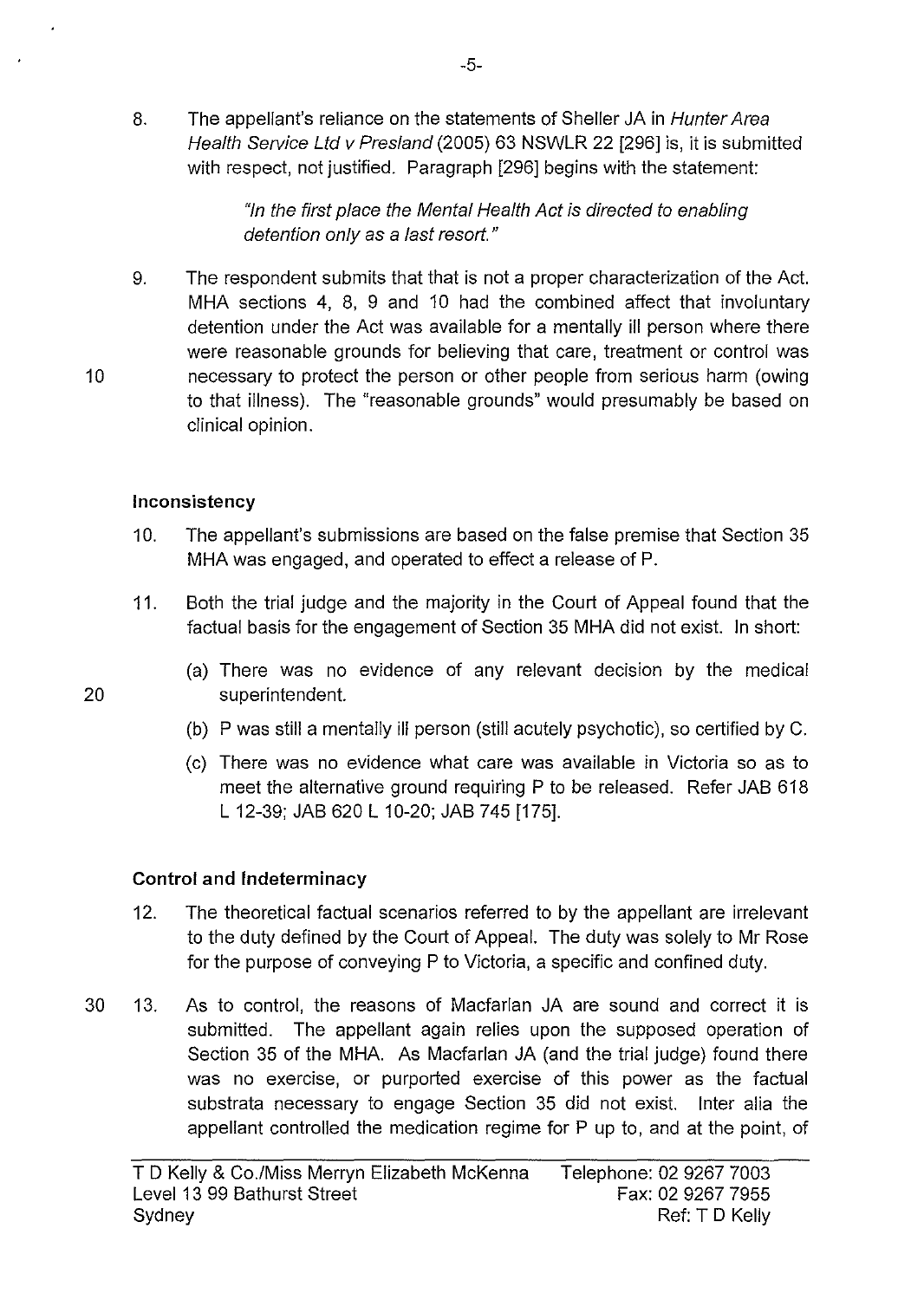8. The appellant's reliance on the statements of Sheller JA in Hunter Area Health Service Ltd v Presland (2005) 63 NSWLR 22 [296] is, it is submitted with respect, not justified. Paragraph [296] begins with the statement:

> "In the first place the Mental Health Act is directed to enabling detention only as a last resort."

9. The respondent submits that that is not a proper characterization of the Act. MHA sections 4, 8, 9 and 10 had the combined affect that involuntary detention under the Act was available for a mentally ill person where there were reasonable grounds for believing that care, treatment or control was necessary to protect the person or other people from serious harm (owing to that illness). The "reasonable grounds" would presumably be based on clinical opinion.

### **Inconsistency**

- 10. The appellant's submissions are based on the false premise that Section 35 MHA was engaged, and operated to effect a release of P.
- 11. Both the trial judge and the majority in the Court of Appeal found that the factual basis for the engagement of Section 35 MHA did not exist. In short:
- (a) There was no evidence of any relevant decision by the medical 20 superintendent.
	- (b) P was still a mentally ill person (still acutely psychotic), so certified by C.
	- (c) There was no evidence what care was available in Victoria so as to meet the alternative ground requiring P to be released. Refer JAB 618 L 12-39; JAB 620 L 10-20; JAB 745 [175].

## **Control and Indeterminacy**

- 12. The theoretical factual scenarios referred to by the appellant are irrelevant to the duty defined by the Court of Appeal. The duty was solely to Mr Rose for the purpose of conveying P to Victoria, a specific and confined duty.
- 30 13. As to control, the reasons of Macfarlan JA are sound and correct it is submitted. The appellant again relies upon the supposed operation of Section 35 of the MHA. As Macfarlan JA (and the trial judge) found there was no exercise, or purported exercise of this power as the factual substrata necessary to engage Section 35 did not exist. Inter alia the appellant controlled the medication regime for P up to, and at the point, of

10

-5-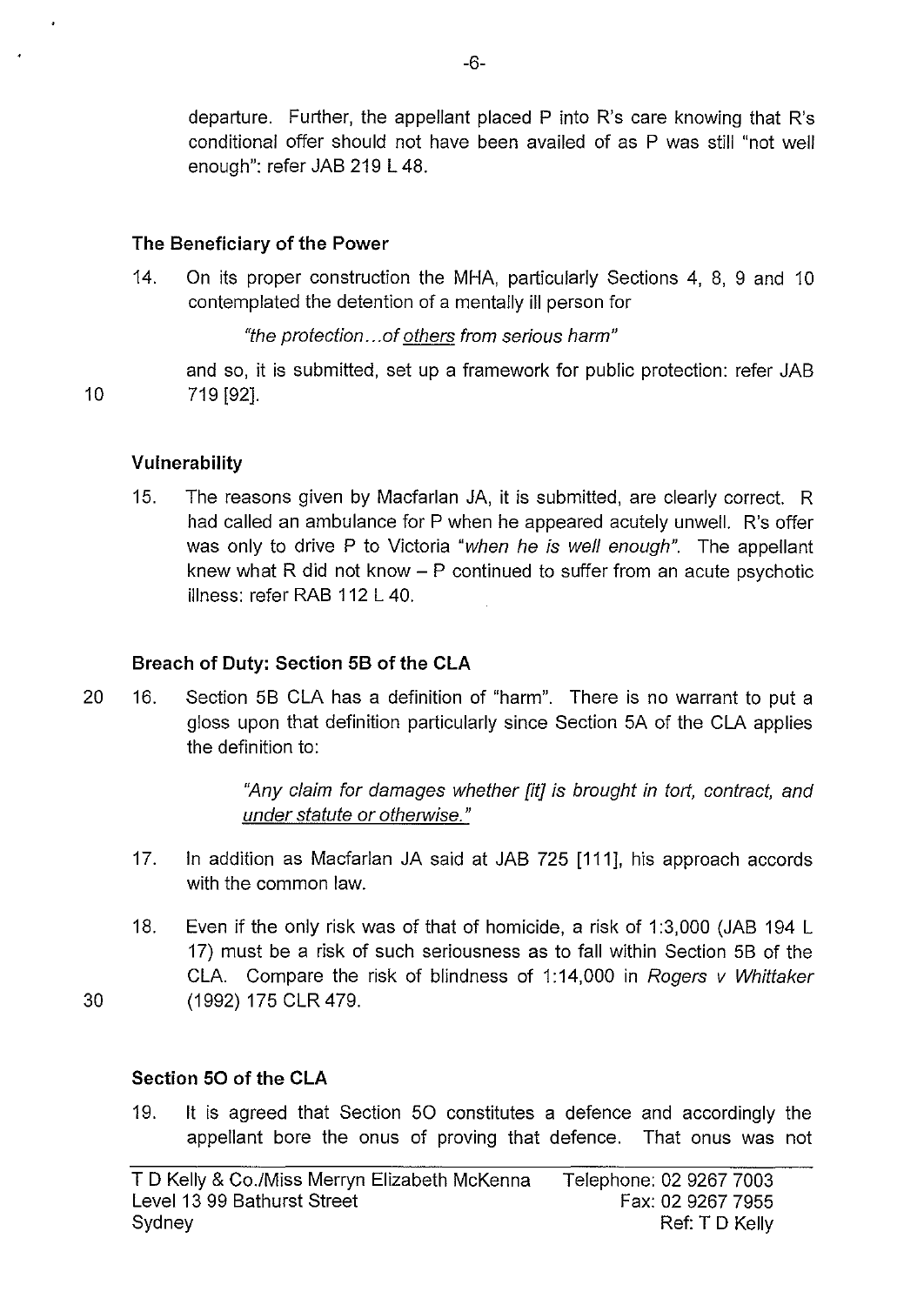departure. Further, the appellant placed P into R's care knowing that R's conditional offer should not have been availed of as P was still "not well enough": refer JAB 219 L 48.

### **The Beneficiary of the Power**

14. On its proper construction the MHA, particularly Sections 4, 8, 9 and 10 contemplated the detention of a mentally ill person for

"the protection ... of others from serious harm"

and so, it is submitted, set up a framework for public protection: refer JAB 10 719 [92].

**Vulnerability** 

15. The reasons given by Macfarlan JA, it is submitted, are clearly correct. R had called an ambulance for P when he appeared acutely unwell. R's offer was only to drive P to Victoria "when he is well enough". The appellant knew what R did not know  $-$  P continued to suffer from an acute psychotic illness: refer RAB 112 L 40.

### **Breach of Duty: Section 58 of the CLA**

20 16. Section 58 CLA has a definition of "harm". There is no warrant to put a gloss upon that definition particularly since Section 5A of the CLA applies the definition to:

> "Any claim for damages whether [it] is brought in tort, contract, and under statute or otherwise."

- 17. In addition as Macfarlan JA said at JAB 725 [111], his approach accords with the common law.
- 18. Even if the only risk was of that of homicide, a risk of 1 :3,000 (JAB 194 L 17) must be a risk of such seriousness as to fall within Section 58 of the CLA. Compare the risk of blindness of 1:14,000 in Rogers  $v$  Whittaker 30 (1992) 175 CLR 479.

## **Section 50 of the CLA**

19. It is agreed that Section 50 constitutes a defence and accordingly the appellant bore the onus of proving that defence. That onus was not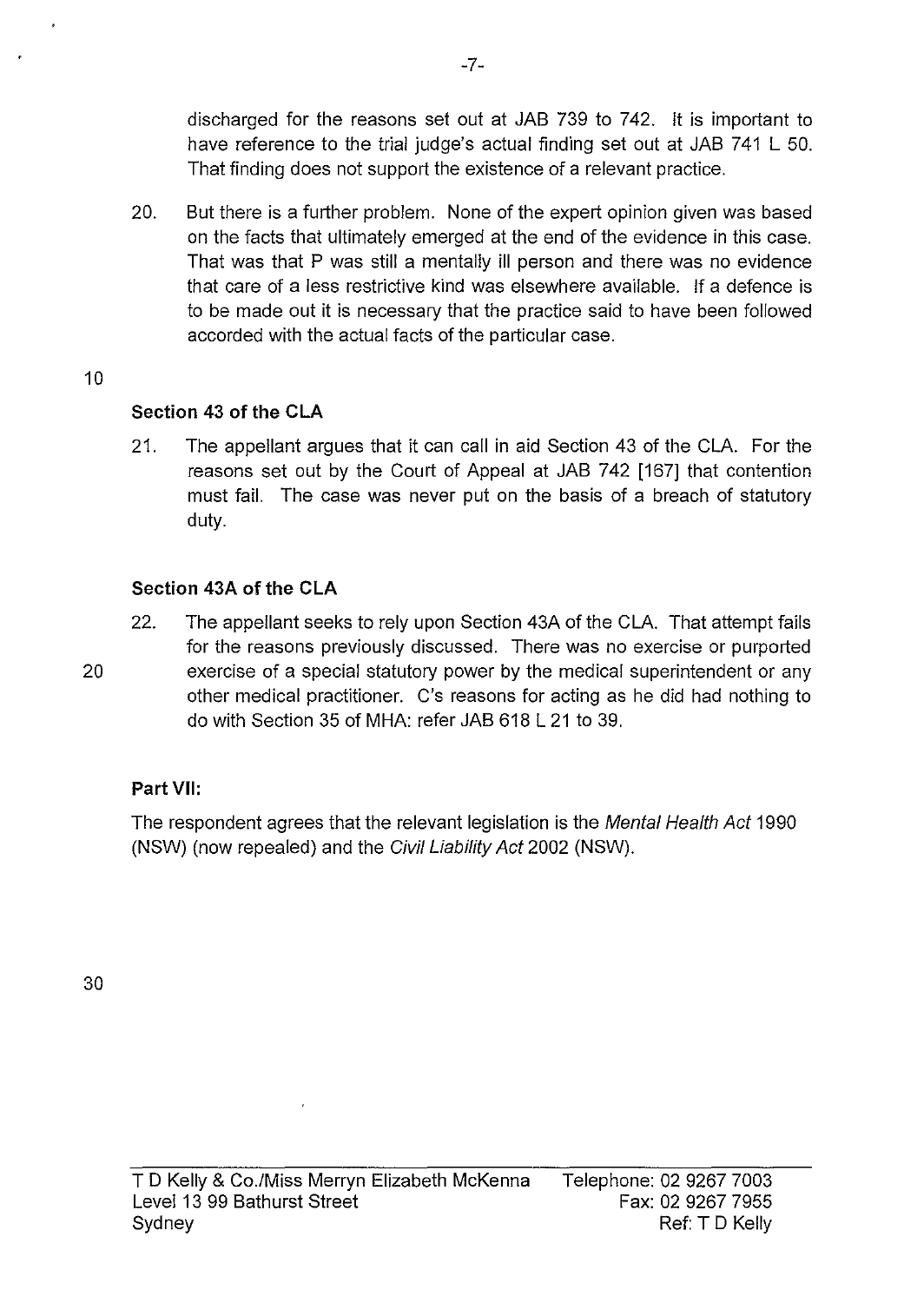discharged for the reasons set out at JAB 739 to 742. It is important to have reference to the trial judge's actual finding set out at JAB 741 L 50. That finding does not support the existence of a relevant practice.

20. But there is a further problem. None of the expert opinion given was based on the facts that ultimately emerged at the end of the evidence in this case. That was that P was still a mentally ill person and there was no evidence that care of a less restrictive kind was elsewhere available. If a defence is to be made out it is necessary that the practice said to have been followed accorded with the actual facts of the particular case.

#### 10

## **Section 43 of the CLA**

21. The appellant argues that it can call in aid Section 43 of the CLA. For the reasons set out by the Court of Appeal at JAB 742 [167] that contention must fail. The case was never put on the basis of a breach of statutory duty.

### **Section 43A of the CLA**

22. The appellant seeks to rely upon Section 43A of the CLA. That attempt fails for the reasons previously discussed. There was no exercise or purported 20 exercise of a special statutory power by the medical superintendent or any other medical practitioner. C's reasons for acting as he did had nothing to do with Section 35 of MHA: refer JAB 618 L 21 to 39.

#### **Part VII:**

The respondent agrees that the relevant legislation is the Mental Health Act 1990 (NSW) (now repealed) and the Civil Liability Act 2002 (NSW).